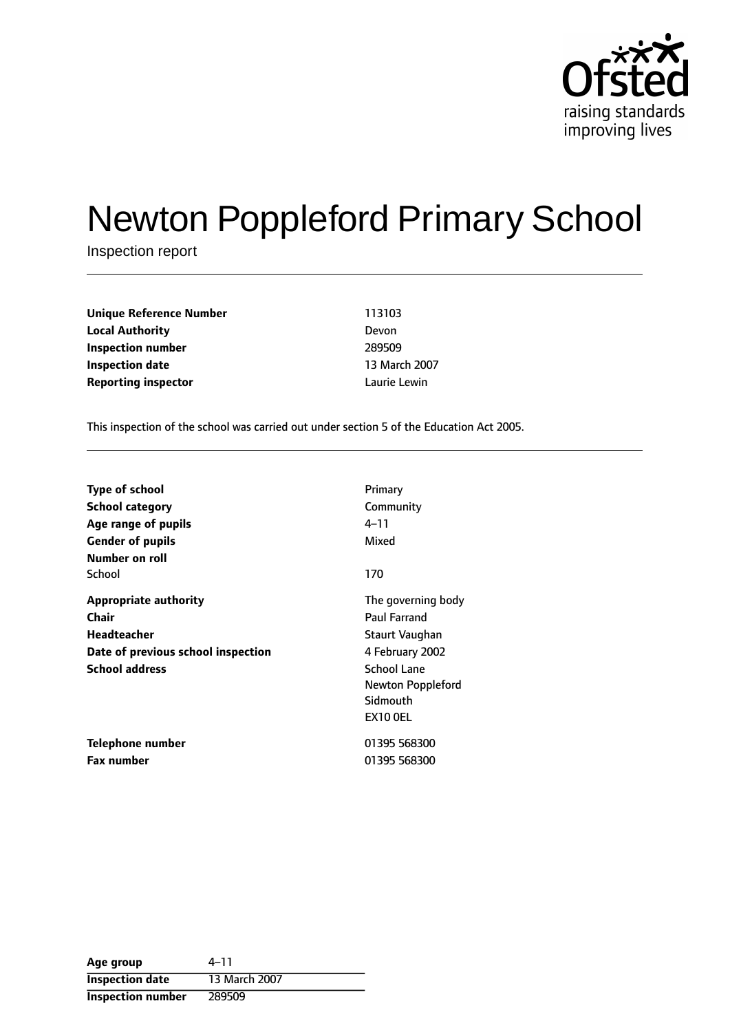

# Newton Poppleford Primary School

Inspection report

**Unique Reference Number** 113103 **Local Authority** Devon **Inspection number** 289509 **Inspection date** 13 March 2007 **Reporting inspector and a latter of the Lewin** Laurie Lewin

This inspection of the school was carried out under section 5 of the Education Act 2005.

| <b>Type of school</b>              | Primary            |
|------------------------------------|--------------------|
| <b>School category</b>             | Community          |
| Age range of pupils                | 4–11               |
| <b>Gender of pupils</b>            | Mixed              |
| Number on roll                     |                    |
| School                             | 170                |
| <b>Appropriate authority</b>       | The governing body |
| Chair                              | Paul Farrand       |
| <b>Headteacher</b>                 | Staurt Vaughan     |
| Date of previous school inspection | 4 February 2002    |
| <b>School address</b>              | <b>School Lane</b> |
|                                    | Newton Poppleford  |
|                                    | Sidmouth           |
|                                    | <b>EX10 OEL</b>    |
| Telephone number                   | 01395 568300       |
| <b>Fax number</b>                  | 01395 568300       |

Age group  $4-11$ **Inspection date** 13 March 2007 **Inspection number** 289509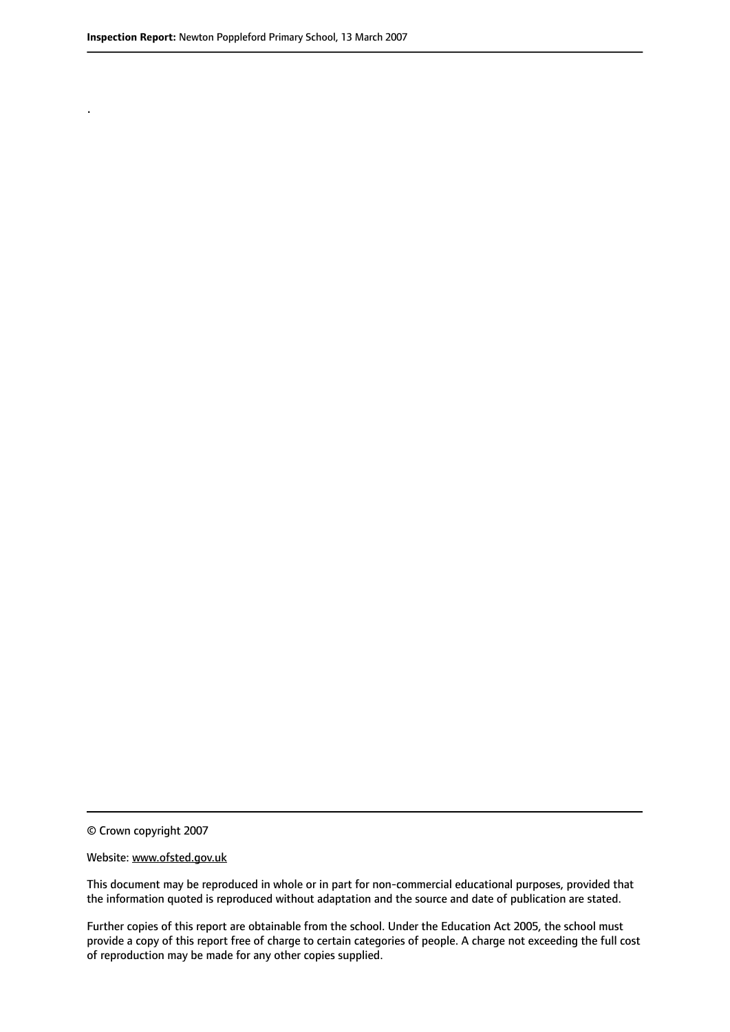.

© Crown copyright 2007

#### Website: www.ofsted.gov.uk

This document may be reproduced in whole or in part for non-commercial educational purposes, provided that the information quoted is reproduced without adaptation and the source and date of publication are stated.

Further copies of this report are obtainable from the school. Under the Education Act 2005, the school must provide a copy of this report free of charge to certain categories of people. A charge not exceeding the full cost of reproduction may be made for any other copies supplied.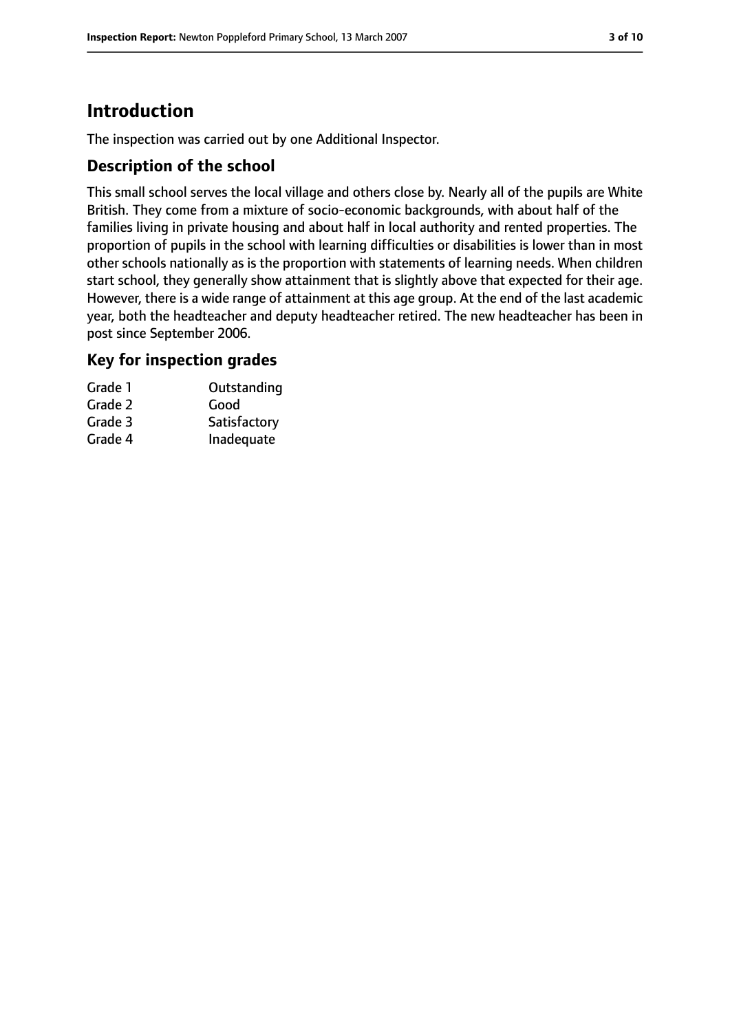# **Introduction**

The inspection was carried out by one Additional Inspector.

#### **Description of the school**

This small school serves the local village and others close by. Nearly all of the pupils are White British. They come from a mixture of socio-economic backgrounds, with about half of the families living in private housing and about half in local authority and rented properties. The proportion of pupils in the school with learning difficulties or disabilities is lower than in most other schools nationally as is the proportion with statements of learning needs. When children start school, they generally show attainment that is slightly above that expected for their age. However, there is a wide range of attainment at this age group. At the end of the last academic year, both the headteacher and deputy headteacher retired. The new headteacher has been in post since September 2006.

#### **Key for inspection grades**

| Outstanding  |
|--------------|
| Good         |
| Satisfactory |
| Inadequate   |
|              |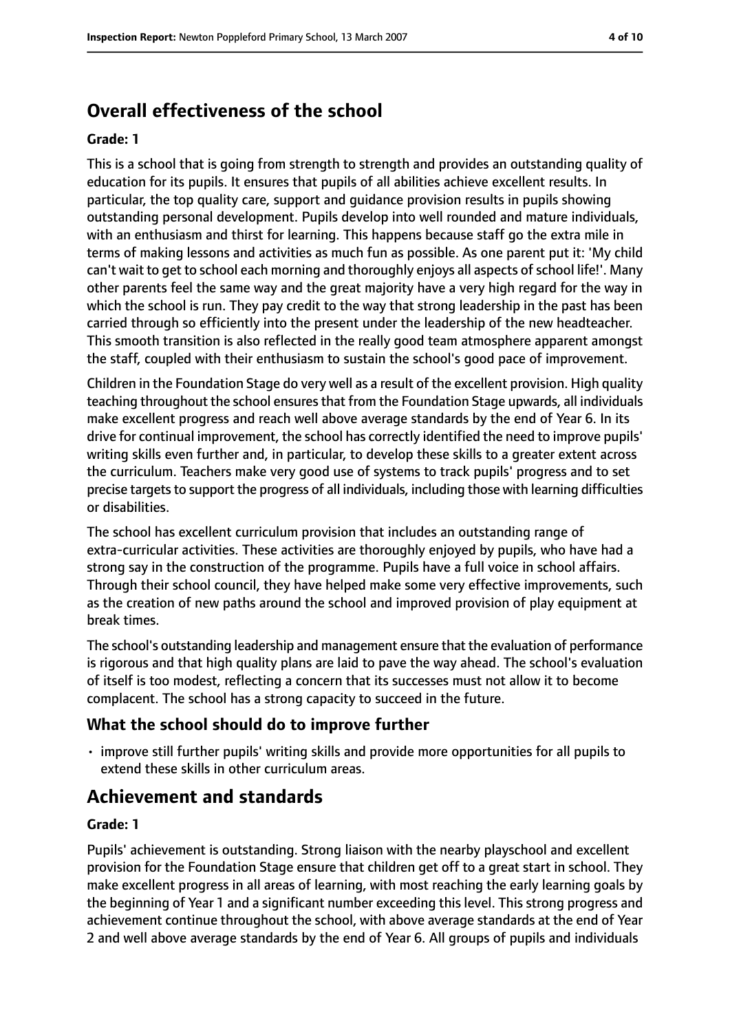# **Overall effectiveness of the school**

#### **Grade: 1**

This is a school that is going from strength to strength and provides an outstanding quality of education for its pupils. It ensures that pupils of all abilities achieve excellent results. In particular, the top quality care, support and guidance provision results in pupils showing outstanding personal development. Pupils develop into well rounded and mature individuals, with an enthusiasm and thirst for learning. This happens because staff go the extra mile in terms of making lessons and activities as much fun as possible. As one parent put it: 'My child can't wait to get to school each morning and thoroughly enjoys all aspects of school life!'. Many other parents feel the same way and the great majority have a very high regard for the way in which the school is run. They pay credit to the way that strong leadership in the past has been carried through so efficiently into the present under the leadership of the new headteacher. This smooth transition is also reflected in the really good team atmosphere apparent amongst the staff, coupled with their enthusiasm to sustain the school's good pace of improvement.

Children in the Foundation Stage do very well as a result of the excellent provision. High quality teaching throughout the school ensuresthat from the Foundation Stage upwards, all individuals make excellent progress and reach well above average standards by the end of Year 6. In its drive for continual improvement, the school has correctly identified the need to improve pupils' writing skills even further and, in particular, to develop these skills to a greater extent across the curriculum. Teachers make very good use of systems to track pupils' progress and to set precise targets to support the progress of all individuals, including those with learning difficulties or disabilities.

The school has excellent curriculum provision that includes an outstanding range of extra-curricular activities. These activities are thoroughly enjoyed by pupils, who have had a strong say in the construction of the programme. Pupils have a full voice in school affairs. Through their school council, they have helped make some very effective improvements, such as the creation of new paths around the school and improved provision of play equipment at break times.

The school's outstanding leadership and management ensure that the evaluation of performance is rigorous and that high quality plans are laid to pave the way ahead. The school's evaluation of itself is too modest, reflecting a concern that its successes must not allow it to become complacent. The school has a strong capacity to succeed in the future.

## **What the school should do to improve further**

• improve still further pupils' writing skills and provide more opportunities for all pupils to extend these skills in other curriculum areas.

# **Achievement and standards**

#### **Grade: 1**

Pupils' achievement is outstanding. Strong liaison with the nearby playschool and excellent provision for the Foundation Stage ensure that children get off to a great start in school. They make excellent progress in all areas of learning, with most reaching the early learning goals by the beginning of Year 1 and a significant number exceeding this level. This strong progress and achievement continue throughout the school, with above average standards at the end of Year 2 and well above average standards by the end of Year 6. All groups of pupils and individuals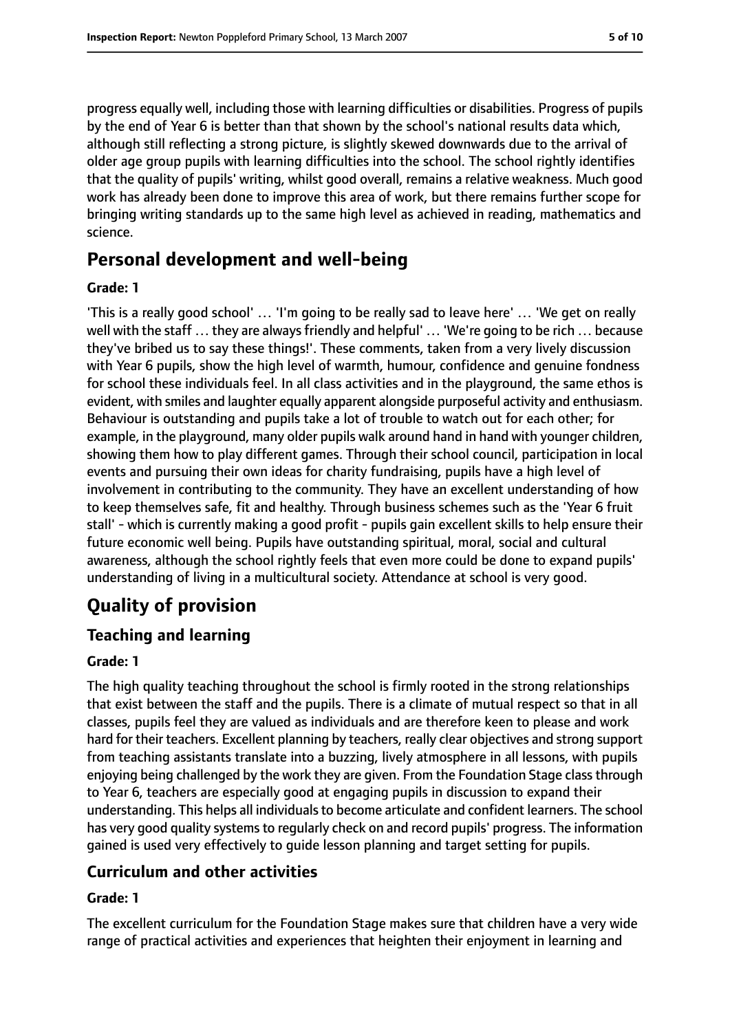progress equally well, including those with learning difficulties or disabilities. Progress of pupils by the end of Year 6 is better than that shown by the school's national results data which, although still reflecting a strong picture, is slightly skewed downwards due to the arrival of older age group pupils with learning difficulties into the school. The school rightly identifies that the quality of pupils' writing, whilst good overall, remains a relative weakness. Much good work has already been done to improve this area of work, but there remains further scope for bringing writing standards up to the same high level as achieved in reading, mathematics and science.

## **Personal development and well-being**

#### **Grade: 1**

'This is a really good school' … 'I'm going to be really sad to leave here' … 'We get on really well with the staff ... they are always friendly and helpful' ... 'We're going to be rich ... because they've bribed us to say these things!'. These comments, taken from a very lively discussion with Year 6 pupils, show the high level of warmth, humour, confidence and genuine fondness for school these individuals feel. In all class activities and in the playground, the same ethos is evident, with smiles and laughter equally apparent alongside purposeful activity and enthusiasm. Behaviour is outstanding and pupils take a lot of trouble to watch out for each other; for example, in the playground, many older pupils walk around hand in hand with younger children, showing them how to play different games. Through their school council, participation in local events and pursuing their own ideas for charity fundraising, pupils have a high level of involvement in contributing to the community. They have an excellent understanding of how to keep themselves safe, fit and healthy. Through business schemes such as the 'Year 6 fruit stall' - which is currently making a good profit - pupils gain excellent skills to help ensure their future economic well being. Pupils have outstanding spiritual, moral, social and cultural awareness, although the school rightly feels that even more could be done to expand pupils' understanding of living in a multicultural society. Attendance at school is very good.

# **Quality of provision**

## **Teaching and learning**

#### **Grade: 1**

The high quality teaching throughout the school is firmly rooted in the strong relationships that exist between the staff and the pupils. There is a climate of mutual respect so that in all classes, pupils feel they are valued as individuals and are therefore keen to please and work hard for their teachers. Excellent planning by teachers, really clear objectives and strong support from teaching assistants translate into a buzzing, lively atmosphere in all lessons, with pupils enjoying being challenged by the work they are given. From the Foundation Stage classthrough to Year 6, teachers are especially good at engaging pupils in discussion to expand their understanding. This helps all individuals to become articulate and confident learners. The school has very good quality systems to regularly check on and record pupils' progress. The information gained is used very effectively to guide lesson planning and target setting for pupils.

## **Curriculum and other activities**

#### **Grade: 1**

The excellent curriculum for the Foundation Stage makes sure that children have a very wide range of practical activities and experiences that heighten their enjoyment in learning and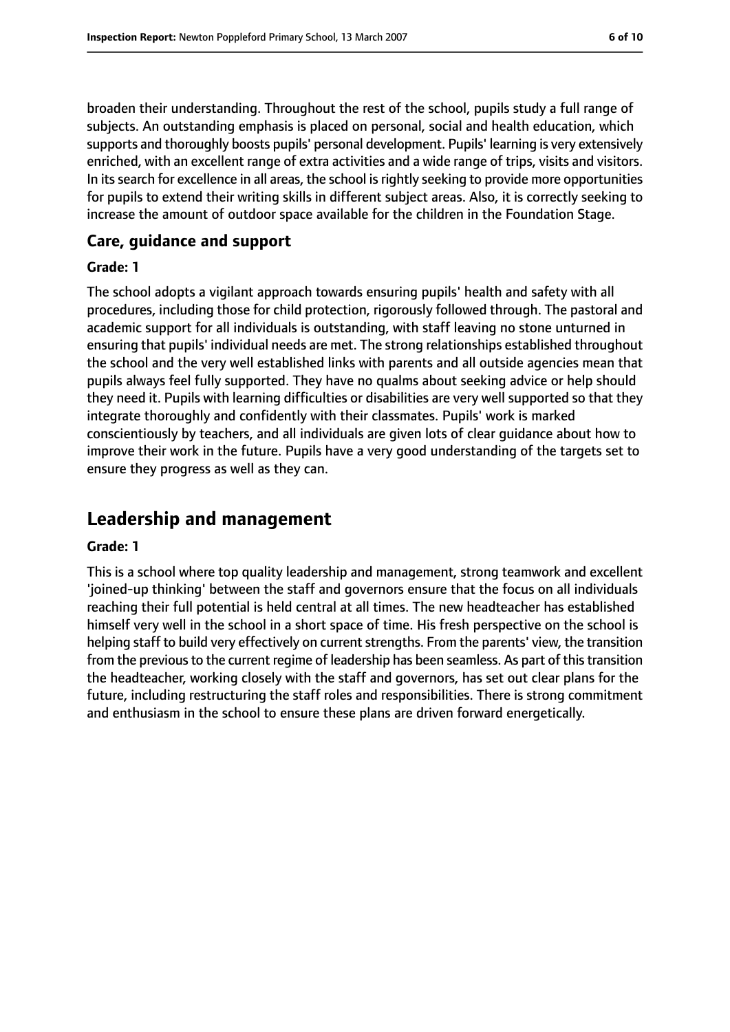broaden their understanding. Throughout the rest of the school, pupils study a full range of subjects. An outstanding emphasis is placed on personal, social and health education, which supports and thoroughly boosts pupils' personal development. Pupils' learning is very extensively enriched, with an excellent range of extra activities and a wide range of trips, visits and visitors. In its search for excellence in all areas, the school is rightly seeking to provide more opportunities for pupils to extend their writing skills in different subject areas. Also, it is correctly seeking to increase the amount of outdoor space available for the children in the Foundation Stage.

#### **Care, guidance and support**

#### **Grade: 1**

The school adopts a vigilant approach towards ensuring pupils' health and safety with all procedures, including those for child protection, rigorously followed through. The pastoral and academic support for all individuals is outstanding, with staff leaving no stone unturned in ensuring that pupils' individual needs are met. The strong relationships established throughout the school and the very well established links with parents and all outside agencies mean that pupils always feel fully supported. They have no qualms about seeking advice or help should they need it. Pupils with learning difficulties or disabilities are very well supported so that they integrate thoroughly and confidently with their classmates. Pupils' work is marked conscientiously by teachers, and all individuals are given lots of clear guidance about how to improve their work in the future. Pupils have a very good understanding of the targets set to ensure they progress as well as they can.

## **Leadership and management**

#### **Grade: 1**

This is a school where top quality leadership and management, strong teamwork and excellent 'joined-up thinking' between the staff and governors ensure that the focus on all individuals reaching their full potential is held central at all times. The new headteacher has established himself very well in the school in a short space of time. His fresh perspective on the school is helping staff to build very effectively on current strengths. From the parents' view, the transition from the previous to the current regime of leadership has been seamless. As part of this transition the headteacher, working closely with the staff and governors, has set out clear plans for the future, including restructuring the staff roles and responsibilities. There is strong commitment and enthusiasm in the school to ensure these plans are driven forward energetically.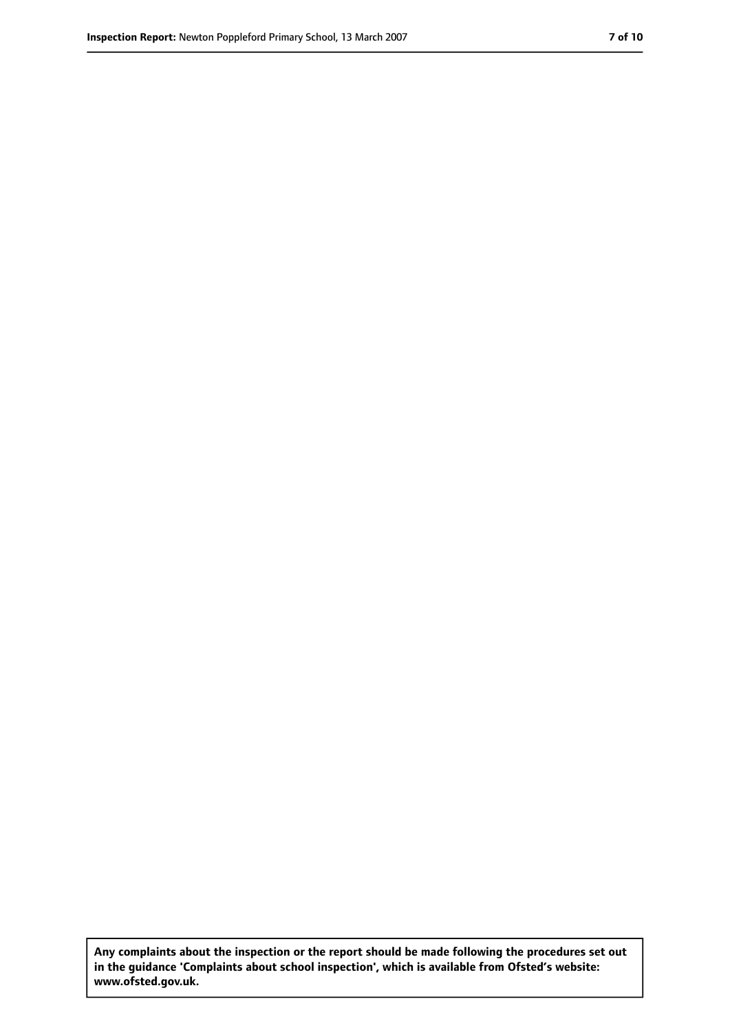**Any complaints about the inspection or the report should be made following the procedures set out in the guidance 'Complaints about school inspection', which is available from Ofsted's website: www.ofsted.gov.uk.**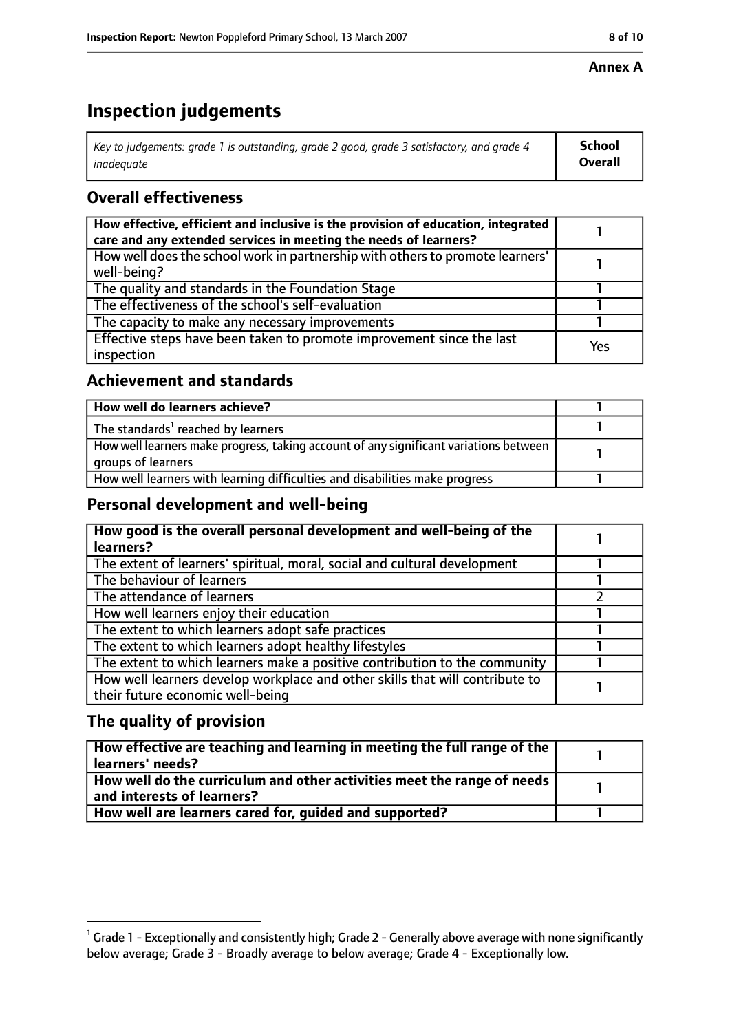#### **Annex A**

# **Inspection judgements**

| Key to judgements: grade 1 is outstanding, grade 2 good, grade 3 satisfactory, and grade 4 | School  |
|--------------------------------------------------------------------------------------------|---------|
| inadeauate                                                                                 | Overall |

## **Overall effectiveness**

| How effective, efficient and inclusive is the provision of education, integrated<br>care and any extended services in meeting the needs of learners? |     |
|------------------------------------------------------------------------------------------------------------------------------------------------------|-----|
| How well does the school work in partnership with others to promote learners'<br>well-being?                                                         |     |
| The quality and standards in the Foundation Stage                                                                                                    |     |
| The effectiveness of the school's self-evaluation                                                                                                    |     |
| The capacity to make any necessary improvements                                                                                                      |     |
| Effective steps have been taken to promote improvement since the last<br>inspection                                                                  | Yes |

## **Achievement and standards**

| How well do learners achieve?                                                                               |  |
|-------------------------------------------------------------------------------------------------------------|--|
| The standards <sup>1</sup> reached by learners                                                              |  |
| How well learners make progress, taking account of any significant variations between<br>groups of learners |  |
| How well learners with learning difficulties and disabilities make progress                                 |  |

#### **Personal development and well-being**

| How good is the overall personal development and well-being of the<br>learners? |  |
|---------------------------------------------------------------------------------|--|
|                                                                                 |  |
| The extent of learners' spiritual, moral, social and cultural development       |  |
| The behaviour of learners                                                       |  |
| The attendance of learners                                                      |  |
| How well learners enjoy their education                                         |  |
| The extent to which learners adopt safe practices                               |  |
| The extent to which learners adopt healthy lifestyles                           |  |
| The extent to which learners make a positive contribution to the community      |  |
| How well learners develop workplace and other skills that will contribute to    |  |
| their future economic well-being                                                |  |

## **The quality of provision**

| $\mid$ How effective are teaching and learning in meeting the full range of the $\mid$<br>  learners' needs?               |  |
|----------------------------------------------------------------------------------------------------------------------------|--|
| $\mid$ How well do the curriculum and other activities meet the range of needs $\mid$<br>$\mid$ and interests of learners? |  |
| How well are learners cared for, quided and supported?                                                                     |  |

 $^1$  Grade 1 - Exceptionally and consistently high; Grade 2 - Generally above average with none significantly below average; Grade 3 - Broadly average to below average; Grade 4 - Exceptionally low.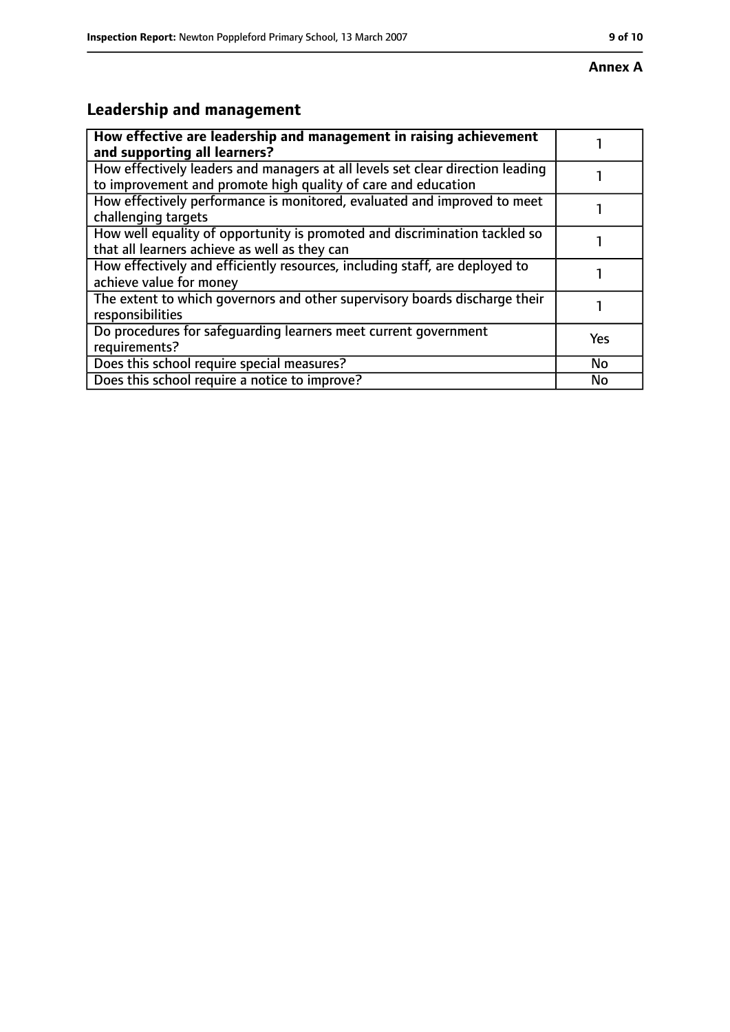# **Leadership and management**

| How effective are leadership and management in raising achievement<br>and supporting all learners?                                              |           |
|-------------------------------------------------------------------------------------------------------------------------------------------------|-----------|
| How effectively leaders and managers at all levels set clear direction leading<br>to improvement and promote high quality of care and education |           |
| How effectively performance is monitored, evaluated and improved to meet<br>challenging targets                                                 |           |
| How well equality of opportunity is promoted and discrimination tackled so<br>that all learners achieve as well as they can                     |           |
| How effectively and efficiently resources, including staff, are deployed to<br>achieve value for money                                          |           |
| The extent to which governors and other supervisory boards discharge their<br>responsibilities                                                  |           |
| Do procedures for safeguarding learners meet current government<br>requirements?                                                                | Yes       |
| Does this school require special measures?                                                                                                      | <b>No</b> |
| Does this school require a notice to improve?                                                                                                   | No        |